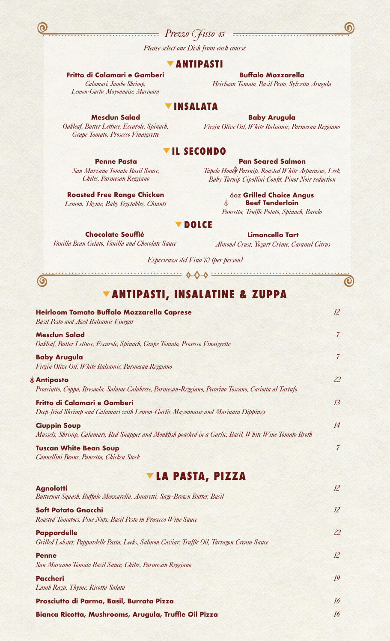#### **Prezzo Fisso 45 communications**

*Please select one Dish from each course*

#### **ANTIPASTI**

**Fritto di Calamari e Gamberi**

*Calamari, Jumbo Shrimp, Lemon-Garlic Mayonnaise, Marinara* **Buffalo Mozzarella** 

*Heirloom Tomato, Basil Pesto, Sylvetta Arugula*

### **INSALATA**

#### **Mesclun Salad**

*Oakleaf, Butter Lettuce, Escarole, Spinach, Grape Tomato, Prosecco Vinaigrette*

**Baby Arugula** *Virgin Olive Oil, White Balsamic, Parmesan Reggiano*

#### **IL SECONDO**

#### **Penne Pasta**

*San Marzano Tomato Basil Sauce, Chiles, Parmesan Reggiano*

**Roasted Free Range Chicken**

*Lemon, Thyme, Baby Vegetables, Chianti*

#### **Pan Seared Salmon**

*Tupelo Honey Parsnip, Roasted White Asparagus, Leek, Baby Turnip Cipollini Confit, Pinot Noir reduction*

> 6oz **Grilled Choice Angus**   $\dot{\vec{x}}$ **Beef Tenderloin**

*Pancetta, Truffle Potato, Spinach, Barolo*

#### **DOLCE**

#### **Chocolate Soufflé**

 $\mathbf{\Omega}$ 

*Vanilla Bean Gelato, Vanilla and Chocolate Sauce*

**Limoncello Tart**

 *Almond Crust, Yogurt Crème, Caramel Citrus*

*Esperienza del Vino 70 (per person)*

............. 000 .................

# **ANTIPASTI, INSALATINE & ZUPPA**

| Heirloom Tomato Buffalo Mozzarella Caprese<br><b>Basil Pesto and Aged Balsamic Vinegar</b>                                     | 12             |
|--------------------------------------------------------------------------------------------------------------------------------|----------------|
| <b>Mesclun Salad</b><br>Oakleaf, Butter Lettuce, Escarole, Spinach, Grape Tomato, Prosecco Vinaigrette                         | $\overline{7}$ |
| <b>Baby Arugula</b><br>Virgin Olive Oil, White Balsamic, Parmesan Reggiano                                                     | $\overline{7}$ |
| Antipasto<br>Prosciutto, Coppa, Bresaola, Salame Calabrese, Parmesan-Reggiano, Pecorino Toscano, Caciotta al Tartufo           | 22             |
| Fritto di Calamari e Gamberi<br>Deep-fried Shrimp and Calamari with Lemon-Garlic Mayonnaise and Marinara Dipping's             | 13             |
| <b>Ciuppin Soup</b><br>Mussels, Shrimp, Calamari, Red Snapper and Monkfish poached in a Garlic, Basil, White Wine Tomato Broth | 14             |
| <b>Tuscan White Bean Soup</b><br>Cannellini Beans, Pancetta, Chicken Stock                                                     | $\overline{7}$ |

# **LA PASTA, PIZZA**

**Agnolotti** *12 Butternut Squash, Buffalo Mozzarella, Amaretti, Sage-Brown Butter, Basil* **Soft Potato Gnocchi** *12 Roasted Tomatoes, Pine Nuts, Basil Pesto in Prosecco Wine Sauce* **Pappardelle** *22 Grilled Lobster, Pappardelle Pasta, Leeks, Salmon Caviar, Truffle Oil, Tarragon Cream Sauce* **Penne** *12 San Marzano Tomato Basil Sauce, Chiles, Parmesan Reggiano* **Paccheri** *19 Lamb Ragu, Thyme, Ricotta Salata* **Prosciutto di Parma, Basil, Burrata Pizza** *16* **Bianca Ricotta, Mushrooms, Arugula, Truffle Oil Pizza** *16*



 $\mathbf{O}$